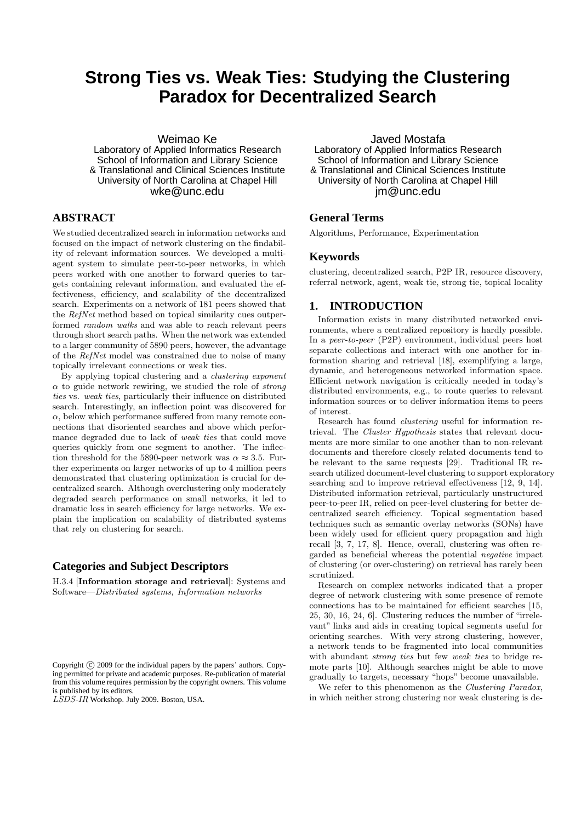# **Strong Ties vs. Weak Ties: Studying the Clustering Paradox for Decentralized Search**

Weimao Ke

Laboratory of Applied Informatics Research School of Information and Library Science & Translational and Clinical Sciences Institute University of North Carolina at Chapel Hill wke@unc.edu

# **ABSTRACT**

We studied decentralized search in information networks and focused on the impact of network clustering on the findability of relevant information sources. We developed a multiagent system to simulate peer-to-peer networks, in which peers worked with one another to forward queries to targets containing relevant information, and evaluated the effectiveness, efficiency, and scalability of the decentralized search. Experiments on a network of 181 peers showed that the RefNet method based on topical similarity cues outperformed random walks and was able to reach relevant peers through short search paths. When the network was extended to a larger community of 5890 peers, however, the advantage of the RefNet model was constrained due to noise of many topically irrelevant connections or weak ties.

By applying topical clustering and a clustering exponent  $\alpha$  to guide network rewiring, we studied the role of *strong* ties vs. weak ties, particularly their influence on distributed search. Interestingly, an inflection point was discovered for  $\alpha$ , below which performance suffered from many remote connections that disoriented searches and above which performance degraded due to lack of weak ties that could move queries quickly from one segment to another. The inflection threshold for the 5890-peer network was  $\alpha \approx 3.5$ . Further experiments on larger networks of up to 4 million peers demonstrated that clustering optimization is crucial for decentralized search. Although overclustering only moderately degraded search performance on small networks, it led to dramatic loss in search efficiency for large networks. We explain the implication on scalability of distributed systems that rely on clustering for search.

# **Categories and Subject Descriptors**

H.3.4 [Information storage and retrieval]: Systems and Software—Distributed systems, Information networks

Javed Mostafa Laboratory of Applied Informatics Research School of Information and Library Science & Translational and Clinical Sciences Institute University of North Carolina at Chapel Hill jm@unc.edu

# **General Terms**

Algorithms, Performance, Experimentation

#### **Keywords**

clustering, decentralized search, P2P IR, resource discovery, referral network, agent, weak tie, strong tie, topical locality

# **1. INTRODUCTION**

Information exists in many distributed networked environments, where a centralized repository is hardly possible. In a peer-to-peer (P2P) environment, individual peers host separate collections and interact with one another for information sharing and retrieval [18], exemplifying a large, dynamic, and heterogeneous networked information space. Efficient network navigation is critically needed in today's distributed environments, e.g., to route queries to relevant information sources or to deliver information items to peers of interest.

Research has found clustering useful for information retrieval. The Cluster Hypothesis states that relevant documents are more similar to one another than to non-relevant documents and therefore closely related documents tend to be relevant to the same requests [29]. Traditional IR research utilized document-level clustering to support exploratory searching and to improve retrieval effectiveness [12, 9, 14]. Distributed information retrieval, particularly unstructured peer-to-peer IR, relied on peer-level clustering for better decentralized search efficiency. Topical segmentation based techniques such as semantic overlay networks (SONs) have been widely used for efficient query propagation and high recall [3, 7, 17, 8]. Hence, overall, clustering was often regarded as beneficial whereas the potential negative impact of clustering (or over-clustering) on retrieval has rarely been scrutinized.

Research on complex networks indicated that a proper degree of network clustering with some presence of remote connections has to be maintained for efficient searches [15, 25, 30, 16, 24, 6]. Clustering reduces the number of "irrelevant" links and aids in creating topical segments useful for orienting searches. With very strong clustering, however, a network tends to be fragmented into local communities with abundant *strong ties* but few *weak ties* to bridge remote parts [10]. Although searches might be able to move gradually to targets, necessary "hops" become unavailable.

We refer to this phenomenon as the Clustering Paradox, in which neither strong clustering nor weak clustering is de-

Copyright (C) 2009 for the individual papers by the papers' authors. Copying permitted for private and academic purposes. Re-publication of material from this volume requires permission by the copyright owners. This volume is published by its editors.

LSDS-IR Workshop. July 2009. Boston, USA.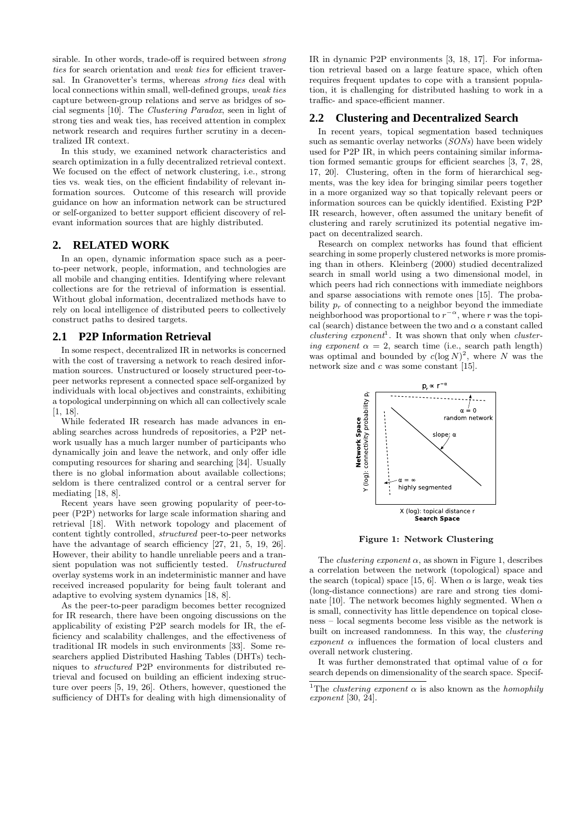sirable. In other words, trade-off is required between strong ties for search orientation and weak ties for efficient traversal. In Granovetter's terms, whereas strong ties deal with local connections within small, well-defined groups, weak ties capture between-group relations and serve as bridges of social segments [10]. The Clustering Paradox, seen in light of strong ties and weak ties, has received attention in complex network research and requires further scrutiny in a decentralized IR context.

In this study, we examined network characteristics and search optimization in a fully decentralized retrieval context. We focused on the effect of network clustering, i.e., strong ties vs. weak ties, on the efficient findability of relevant information sources. Outcome of this research will provide guidance on how an information network can be structured or self-organized to better support efficient discovery of relevant information sources that are highly distributed.

## **2. RELATED WORK**

In an open, dynamic information space such as a peerto-peer network, people, information, and technologies are all mobile and changing entities. Identifying where relevant collections are for the retrieval of information is essential. Without global information, decentralized methods have to rely on local intelligence of distributed peers to collectively construct paths to desired targets.

## **2.1 P2P Information Retrieval**

In some respect, decentralized IR in networks is concerned with the cost of traversing a network to reach desired information sources. Unstructured or loosely structured peer-topeer networks represent a connected space self-organized by individuals with local objectives and constraints, exhibiting a topological underpinning on which all can collectively scale [1, 18].

While federated IR research has made advances in enabling searches across hundreds of repositories, a P2P network usually has a much larger number of participants who dynamically join and leave the network, and only offer idle computing resources for sharing and searching [34]. Usually there is no global information about available collections; seldom is there centralized control or a central server for mediating [18, 8].

Recent years have seen growing popularity of peer-topeer (P2P) networks for large scale information sharing and retrieval [18]. With network topology and placement of content tightly controlled, structured peer-to-peer networks have the advantage of search efficiency [27, 21, 5, 19, 26]. However, their ability to handle unreliable peers and a transient population was not sufficiently tested. Unstructured overlay systems work in an indeterministic manner and have received increased popularity for being fault tolerant and adaptive to evolving system dynamics [18, 8].

As the peer-to-peer paradigm becomes better recognized for IR research, there have been ongoing discussions on the applicability of existing P2P search models for IR, the efficiency and scalability challenges, and the effectiveness of traditional IR models in such environments [33]. Some researchers applied Distributed Hashing Tables (DHTs) techniques to structured P2P environments for distributed retrieval and focused on building an efficient indexing structure over peers [5, 19, 26]. Others, however, questioned the sufficiency of DHTs for dealing with high dimensionality of

IR in dynamic P2P environments [3, 18, 17]. For information retrieval based on a large feature space, which often requires frequent updates to cope with a transient population, it is challenging for distributed hashing to work in a traffic- and space-efficient manner.

## **2.2 Clustering and Decentralized Search**

In recent years, topical segmentation based techniques such as semantic overlay networks (SONs) have been widely used for P2P IR, in which peers containing similar information formed semantic groups for efficient searches [3, 7, 28, 17, 20]. Clustering, often in the form of hierarchical segments, was the key idea for bringing similar peers together in a more organized way so that topically relevant peers or information sources can be quickly identified. Existing P2P IR research, however, often assumed the unitary benefit of clustering and rarely scrutinized its potential negative impact on decentralized search.

Research on complex networks has found that efficient searching in some properly clustered networks is more promising than in others. Kleinberg (2000) studied decentralized search in small world using a two dimensional model, in which peers had rich connections with immediate neighbors and sparse associations with remote ones [15]. The probability  $p_r$  of connecting to a neighbor beyond the immediate neighborhood was proportional to  $r^{-\alpha}$ , where r was the topical (search) distance between the two and  $\alpha$  a constant called  $clustering$  exponent<sup>1</sup>. It was shown that only when clustering exponent  $\alpha = 2$ , search time (i.e., search path length) was optimal and bounded by  $c(\log N)^2$ , where N was the network size and  $c$  was some constant [15].



Figure 1: Network Clustering

The *clustering exponent*  $\alpha$ , as shown in Figure 1, describes a correlation between the network (topological) space and the search (topical) space [15, 6]. When  $\alpha$  is large, weak ties (long-distance connections) are rare and strong ties dominate [10]. The network becomes highly segmented. When  $\alpha$ is small, connectivity has little dependence on topical closeness – local segments become less visible as the network is built on increased randomness. In this way, the *clustering* exponent  $\alpha$  influences the formation of local clusters and overall network clustering.

It was further demonstrated that optimal value of  $\alpha$  for search depends on dimensionality of the search space. Specif-

<sup>&</sup>lt;sup>1</sup>The *clustering exponent*  $\alpha$  is also known as the *homophily* exponent [30, 24].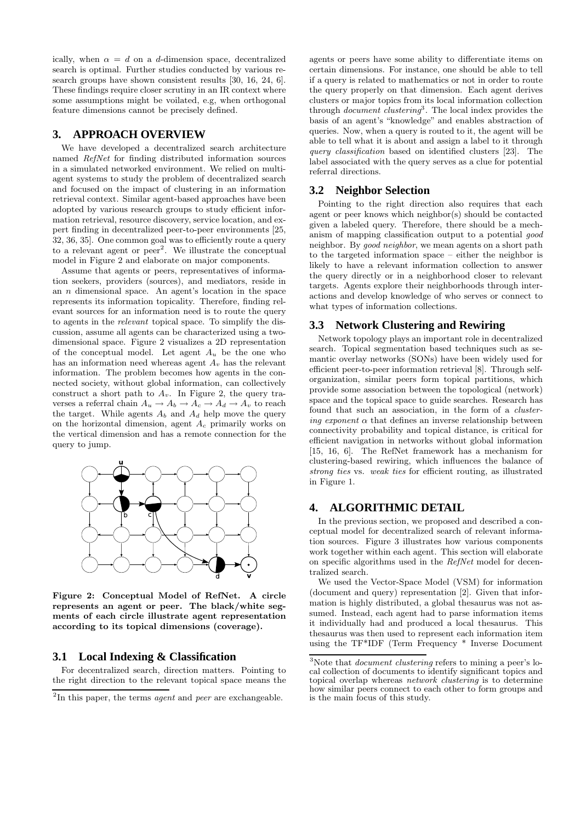ically, when  $\alpha = d$  on a d-dimension space, decentralized search is optimal. Further studies conducted by various research groups have shown consistent results [30, 16, 24, 6]. These findings require closer scrutiny in an IR context where some assumptions might be voilated, e.g, when orthogonal feature dimensions cannot be precisely defined.

# **3. APPROACH OVERVIEW**

We have developed a decentralized search architecture named RefNet for finding distributed information sources in a simulated networked environment. We relied on multiagent systems to study the problem of decentralized search and focused on the impact of clustering in an information retrieval context. Similar agent-based approaches have been adopted by various research groups to study efficient information retrieval, resource discovery, service location, and expert finding in decentralized peer-to-peer environments [25, 32, 36, 35]. One common goal was to efficiently route a query to a relevant agent or peer<sup>2</sup>. We illustrate the conceptual model in Figure 2 and elaborate on major components.

Assume that agents or peers, representatives of information seekers, providers (sources), and mediators, reside in an  $n$  dimensional space. An agent's location in the space represents its information topicality. Therefore, finding relevant sources for an information need is to route the query to agents in the relevant topical space. To simplify the discussion, assume all agents can be characterized using a twodimensional space. Figure 2 visualizes a 2D representation of the conceptual model. Let agent  $A_u$  be the one who has an information need whereas agent  $A_v$  has the relevant information. The problem becomes how agents in the connected society, without global information, can collectively construct a short path to  $A_v$ . In Figure 2, the query traverses a referral chain  $A_u \to A_b \to A_c \to A_d \to A_v$  to reach the target. While agents  $A_b$  and  $A_d$  help move the query on the horizontal dimension, agent  $A_c$  primarily works on the vertical dimension and has a remote connection for the query to jump.



Figure 2: Conceptual Model of RefNet. A circle represents an agent or peer. The black/white segments of each circle illustrate agent representation according to its topical dimensions (coverage).

# **3.1 Local Indexing & Classification**

For decentralized search, direction matters. Pointing to the right direction to the relevant topical space means the

agents or peers have some ability to differentiate items on certain dimensions. For instance, one should be able to tell if a query is related to mathematics or not in order to route the query properly on that dimension. Each agent derives clusters or major topics from its local information collection through *document clustering*<sup>3</sup>. The local index provides the basis of an agent's "knowledge" and enables abstraction of queries. Now, when a query is routed to it, the agent will be able to tell what it is about and assign a label to it through query classification based on identified clusters [23]. The label associated with the query serves as a clue for potential referral directions.

#### **3.2 Neighbor Selection**

Pointing to the right direction also requires that each agent or peer knows which neighbor(s) should be contacted given a labeled query. Therefore, there should be a mechanism of mapping classification output to a potential good neighbor. By good neighbor, we mean agents on a short path to the targeted information space – either the neighbor is likely to have a relevant information collection to answer the query directly or in a neighborhood closer to relevant targets. Agents explore their neighborhoods through interactions and develop knowledge of who serves or connect to what types of information collections.

#### **3.3 Network Clustering and Rewiring**

Network topology plays an important role in decentralized search. Topical segmentation based techniques such as semantic overlay networks (SONs) have been widely used for efficient peer-to-peer information retrieval [8]. Through selforganization, similar peers form topical partitions, which provide some association between the topological (network) space and the topical space to guide searches. Research has found that such an association, in the form of a *clustering exponent*  $\alpha$  that defines an inverse relationship between connectivity probability and topical distance, is critical for efficient navigation in networks without global information [15, 16, 6]. The RefNet framework has a mechanism for clustering-based rewiring, which influences the balance of strong ties vs. weak ties for efficient routing, as illustrated in Figure 1.

# **4. ALGORITHMIC DETAIL**

In the previous section, we proposed and described a conceptual model for decentralized search of relevant information sources. Figure 3 illustrates how various components work together within each agent. This section will elaborate on specific algorithms used in the RefNet model for decentralized search.

We used the Vector-Space Model (VSM) for information (document and query) representation [2]. Given that information is highly distributed, a global thesaurus was not assumed. Instead, each agent had to parse information items it individually had and produced a local thesaurus. This thesaurus was then used to represent each information item using the TF\*IDF (Term Frequency \* Inverse Document

 $2$ In this paper, the terms *agent* and *peer* are exchangeable.

<sup>3</sup>Note that document clustering refers to mining a peer's local collection of documents to identify significant topics and topical overlap whereas network clustering is to determine how similar peers connect to each other to form groups and is the main focus of this study.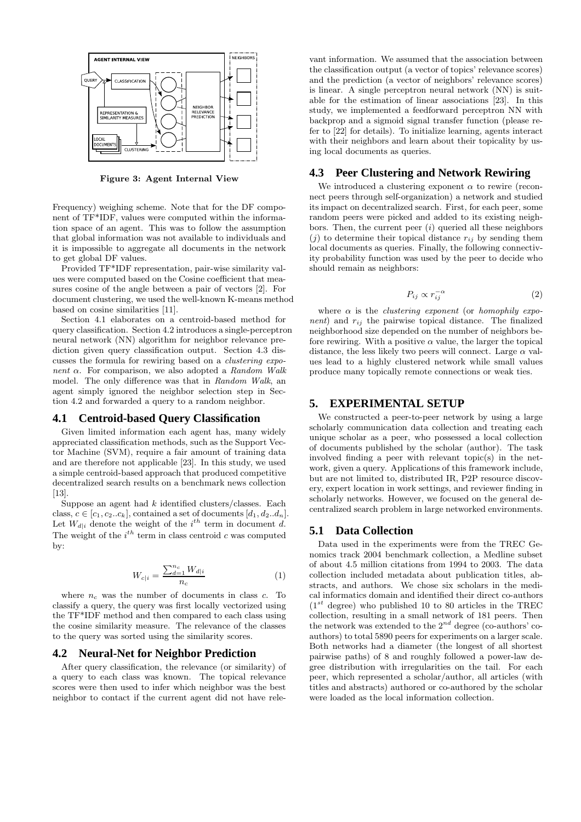

Figure 3: Agent Internal View

Frequency) weighing scheme. Note that for the DF component of TF\*IDF, values were computed within the information space of an agent. This was to follow the assumption that global information was not available to individuals and it is impossible to aggregate all documents in the network to get global DF values.

Provided TF\*IDF representation, pair-wise similarity values were computed based on the Cosine coefficient that measures cosine of the angle between a pair of vectors [2]. For document clustering, we used the well-known K-means method based on cosine similarities [11].

Section 4.1 elaborates on a centroid-based method for query classification. Section 4.2 introduces a single-perceptron neural network (NN) algorithm for neighbor relevance prediction given query classification output. Section 4.3 discusses the formula for rewiring based on a clustering exponent  $\alpha$ . For comparison, we also adopted a Random Walk model. The only difference was that in Random Walk, an agent simply ignored the neighbor selection step in Section 4.2 and forwarded a query to a random neighbor.

#### **4.1 Centroid-based Query Classification**

Given limited information each agent has, many widely appreciated classification methods, such as the Support Vector Machine (SVM), require a fair amount of training data and are therefore not applicable [23]. In this study, we used a simple centroid-based approach that produced competitive decentralized search results on a benchmark news collection [13].

Suppose an agent had  $k$  identified clusters/classes. Each class,  $c \in [c_1, c_2..c_k]$ , contained a set of documents  $[d_1, d_2..d_n]$ . Let  $W_{d|i}$  denote the weight of the  $i^{th}$  term in document d. The weight of the  $i^{th}$  term in class centroid c was computed by:

$$
W_{c|i} = \frac{\sum_{d=1}^{n_c} W_{d|i}}{n_c} \tag{1}
$$

where  $n_c$  was the number of documents in class c. To classify a query, the query was first locally vectorized using the TF\*IDF method and then compared to each class using the cosine similarity measure. The relevance of the classes to the query was sorted using the similarity scores.

#### **4.2 Neural-Net for Neighbor Prediction**

After query classification, the relevance (or similarity) of a query to each class was known. The topical relevance scores were then used to infer which neighbor was the best neighbor to contact if the current agent did not have rele-

vant information. We assumed that the association between the classification output (a vector of topics' relevance scores) and the prediction (a vector of neighbors' relevance scores) is linear. A single perceptron neural network (NN) is suitable for the estimation of linear associations [23]. In this study, we implemented a feedforward perceptron NN with backprop and a sigmoid signal transfer function (please refer to [22] for details). To initialize learning, agents interact with their neighbors and learn about their topicality by using local documents as queries.

## **4.3 Peer Clustering and Network Rewiring**

We introduced a clustering exponent  $\alpha$  to rewire (reconnect peers through self-organization) a network and studied its impact on decentralized search. First, for each peer, some random peers were picked and added to its existing neighbors. Then, the current peer  $(i)$  queried all these neighbors  $(j)$  to determine their topical distance  $r_{ij}$  by sending them local documents as queries. Finally, the following connectivity probability function was used by the peer to decide who should remain as neighbors:

$$
P_{ij} \propto r_{ij}^{-\alpha} \tag{2}
$$

where  $\alpha$  is the *clustering exponent* (or *homophily expo*nent) and  $r_{ij}$  the pairwise topical distance. The finalized neighborhood size depended on the number of neighbors before rewiring. With a positive  $\alpha$  value, the larger the topical distance, the less likely two peers will connect. Large  $\alpha$  values lead to a highly clustered network while small values produce many topically remote connections or weak ties.

#### **5. EXPERIMENTAL SETUP**

We constructed a peer-to-peer network by using a large scholarly communication data collection and treating each unique scholar as a peer, who possessed a local collection of documents published by the scholar (author). The task involved finding a peer with relevant topic(s) in the network, given a query. Applications of this framework include, but are not limited to, distributed IR, P2P resource discovery, expert location in work settings, and reviewer finding in scholarly networks. However, we focused on the general decentralized search problem in large networked environments.

#### **5.1 Data Collection**

Data used in the experiments were from the TREC Genomics track 2004 benchmark collection, a Medline subset of about 4.5 million citations from 1994 to 2003. The data collection included metadata about publication titles, abstracts, and authors. We chose six scholars in the medical informatics domain and identified their direct co-authors  $(1^{st}$  degree) who published 10 to 80 articles in the TREC collection, resulting in a small network of 181 peers. Then the network was extended to the  $2^{nd}$  degree (co-authors' coauthors) to total 5890 peers for experiments on a larger scale. Both networks had a diameter (the longest of all shortest pairwise paths) of 8 and roughly followed a power-law degree distribution with irregularities on the tail. For each peer, which represented a scholar/author, all articles (with titles and abstracts) authored or co-authored by the scholar were loaded as the local information collection.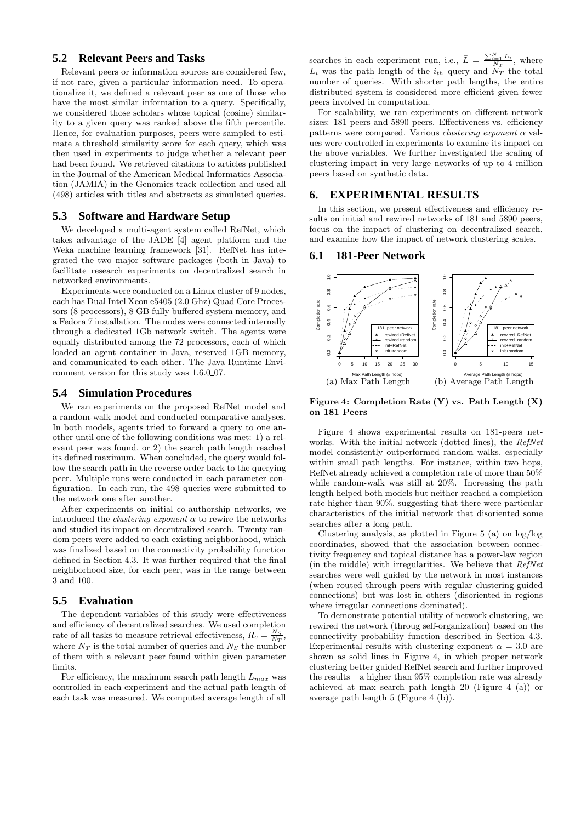# **5.2 Relevant Peers and Tasks**

Relevant peers or information sources are considered few, if not rare, given a particular information need. To operationalize it, we defined a relevant peer as one of those who have the most similar information to a query. Specifically, we considered those scholars whose topical (cosine) similarity to a given query was ranked above the fifth percentile. Hence, for evaluation purposes, peers were sampled to estimate a threshold similarity score for each query, which was then used in experiments to judge whether a relevant peer had been found. We retrieved citations to articles published in the Journal of the American Medical Informatics Association (JAMIA) in the Genomics track collection and used all (498) articles with titles and abstracts as simulated queries.

#### **5.3 Software and Hardware Setup**

We developed a multi-agent system called RefNet, which takes advantage of the JADE [4] agent platform and the Weka machine learning framework [31]. RefNet has integrated the two major software packages (both in Java) to facilitate research experiments on decentralized search in networked environments.

Experiments were conducted on a Linux cluster of 9 nodes, each has Dual Intel Xeon e5405 (2.0 Ghz) Quad Core Processors (8 processors), 8 GB fully buffered system memory, and a Fedora 7 installation. The nodes were connected internally through a dedicated 1Gb network switch. The agents were equally distributed among the 72 processors, each of which loaded an agent container in Java, reserved 1GB memory, and communicated to each other. The Java Runtime Environment version for this study was  $1.6.0\text{-}07$ .

#### **5.4 Simulation Procedures**

We ran experiments on the proposed RefNet model and a random-walk model and conducted comparative analyses. In both models, agents tried to forward a query to one another until one of the following conditions was met: 1) a relevant peer was found, or 2) the search path length reached its defined maximum. When concluded, the query would follow the search path in the reverse order back to the querying peer. Multiple runs were conducted in each parameter configuration. In each run, the 498 queries were submitted to the network one after another.

After experiments on initial co-authorship networks, we introduced the *clustering exponent*  $\alpha$  to rewire the networks and studied its impact on decentralized search. Twenty random peers were added to each existing neighborhood, which was finalized based on the connectivity probability function defined in Section 4.3. It was further required that the final neighborhood size, for each peer, was in the range between 3 and 100.

## **5.5 Evaluation**

The dependent variables of this study were effectiveness and efficiency of decentralized searches. We used completion rate of all tasks to measure retrieval effectiveness,  $R_c = \frac{N_S}{N_T}$ , where  $N_T$  is the total number of queries and  $N_S$  the number of them with a relevant peer found within given parameter limits.

For efficiency, the maximum search path length  $L_{max}$  was controlled in each experiment and the actual path length of each task was measured. We computed average length of all

searches in each experiment run, i.e.,  $\bar{L} = \frac{\sum_{i=1}^{N} L_i}{N_T}$ , where  $L_i$  was the path length of the  $i_{th}$  query and  $N_T$  the total number of queries. With shorter path lengths, the entire distributed system is considered more efficient given fewer peers involved in computation.

For scalability, we ran experiments on different network sizes: 181 peers and 5890 peers. Effectiveness vs. efficiency patterns were compared. Various *clustering exponent*  $\alpha$  values were controlled in experiments to examine its impact on the above variables. We further investigated the scaling of clustering impact in very large networks of up to 4 million peers based on synthetic data.

# **6. EXPERIMENTAL RESULTS**

In this section, we present effectiveness and efficiency results on initial and rewired networks of 181 and 5890 peers, focus on the impact of clustering on decentralized search, and examine how the impact of network clustering scales.

## **6.1 181-Peer Network**



Figure 4: Completion Rate (Y) vs. Path Length (X) on 181 Peers

Figure 4 shows experimental results on 181-peers networks. With the initial network (dotted lines), the RefNet model consistently outperformed random walks, especially within small path lengths. For instance, within two hops, RefNet already achieved a completion rate of more than 50% while random-walk was still at 20%. Increasing the path length helped both models but neither reached a completion rate higher than 90%, suggesting that there were particular characteristics of the initial network that disoriented some searches after a long path.

Clustering analysis, as plotted in Figure 5 (a) on log/log coordinates, showed that the association between connectivity frequency and topical distance has a power-law region (in the middle) with irregularities. We believe that  $RefNet$ searches were well guided by the network in most instances (when routed through peers with regular clustering-guided connections) but was lost in others (disoriented in regions where irregular connections dominated).

To demonstrate potential utility of network clustering, we rewired the network (throug self-organization) based on the connectivity probability function described in Section 4.3. Experimental results with clustering exponent  $\alpha = 3.0$  are shown as solid lines in Figure 4, in which proper network clustering better guided RefNet search and further improved the results – a higher than 95% completion rate was already achieved at max search path length 20 (Figure 4 (a)) or average path length 5 (Figure 4 (b)).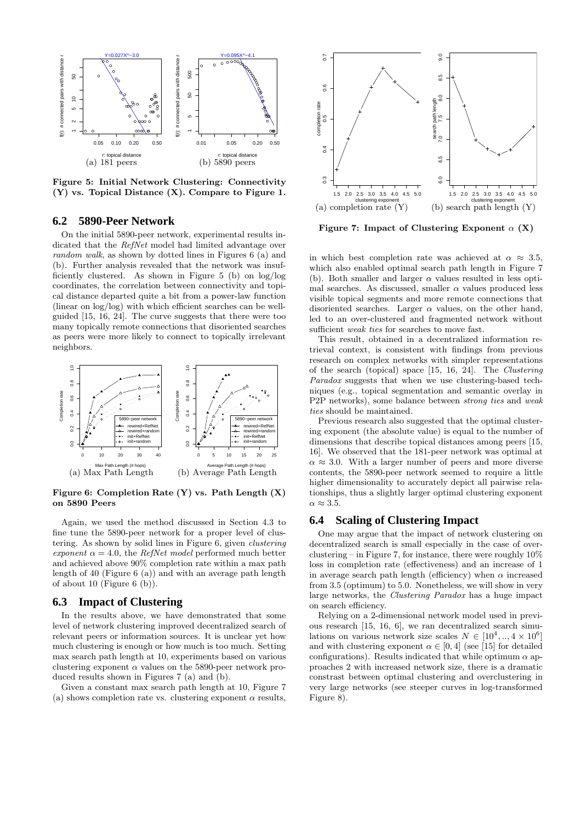

Figure 5: Initial Network Clustering: Connectivity (Y) vs. Topical Distance (X). Compare to Figure 1.

#### **6.2 5890-Peer Network**

On the initial 5890-peer network, experimental results indicated that the RefNet model had limited advantage over random walk, as shown by dotted lines in Figures 6 (a) and (b). Further analysis revealed that the network was insufficiently clustered. As shown in Figure 5 (b) on log/log coordinates, the correlation between connectivity and topical distance departed quite a bit from a power-law function (linear on log/log) with which efficient searches can be wellguided [15, 16, 24]. The curve suggests that there were too many topically remote connections that disoriented searches as peers were more likely to connect to topically irrelevant neighbors.



Figure 6: Completion Rate  $(Y)$  vs. Path Length  $(X)$ on 5890 Peers

Again, we used the method discussed in Section 4.3 to fine tune the 5890-peer network for a proper level of clustering. As shown by solid lines in Figure 6, given clustering exponent  $\alpha = 4.0$ , the *RefNet model* performed much better and achieved above 90% completion rate within a max path length of 40 (Figure 6 (a)) and with an average path length of about 10 (Figure 6 (b)).

## **6.3 Impact of Clustering**

In the results above, we have demonstrated that some level of network clustering improved decentralized search of relevant peers or information sources. It is unclear yet how much clustering is enough or how much is too much. Setting max search path length at 10, experiments based on various clustering exponent  $\alpha$  values on the 5890-peer network produced results shown in Figures 7 (a) and (b).

Given a constant max search path length at 10, Figure 7 (a) shows completion rate vs. clustering exponent  $\alpha$  results,



Figure 7: Impact of Clustering Exponent  $\alpha$  (X)

in which best completion rate was achieved at  $\alpha \approx 3.5$ , which also enabled optimal search path length in Figure 7 (b). Both smaller and larger  $\alpha$  values resulted in less optimal searches. As discussed, smaller  $\alpha$  values produced less visible topical segments and more remote connections that disoriented searches. Larger  $\alpha$  values, on the other hand, led to an over-clustered and fragmented network without sufficient *weak ties* for searches to move fast.

This result, obtained in a decentralized information retrieval context, is consistent with findings from previous research on complex networks with simpler representations of the search (topical) space [15, 16, 24]. The Clustering Paradox suggests that when we use clustering-based techniques (e.g., topical segmentation and semantic overlay in P2P networks), some balance between strong ties and weak ties should be maintained.

Previous research also suggested that the optimal clustering exponent (the absolute value) is equal to the number of dimensions that describe topical distances among peers [15, 16]. We observed that the 181-peer network was optimal at  $\alpha \approx 3.0$ . With a larger number of peers and more diverse contents, the 5890-peer network seemed to require a little higher dimensionality to accurately depict all pairwise relationships, thus a slightly larger optimal clustering exponent  $\alpha \approx 3.5.$ 

# **6.4 Scaling of Clustering Impact**

One may argue that the impact of network clustering on decentralized search is small especially in the case of overclustering – in Figure 7, for instance, there were roughly  $10\%$ loss in completion rate (effectiveness) and an increase of 1 in average search path length (efficiency) when  $\alpha$  increased from 3.5 (optimum) to 5.0. Nonetheless, we will show in very large networks, the Clustering Paradox has a huge impact on search efficiency.

Relying on a 2-dimensional network model used in previous research [15, 16, 6], we ran decentralized search simulations on various network size scales  $N \in [10^4, ..., 4 \times 10^6]$ and with clustering exponent  $\alpha \in [0, 4]$  (see [15] for detailed configurations). Results indicated that while optimum  $\alpha$  approaches 2 with increased network size, there is a dramatic constrast between optimal clustering and overclustering in very large networks (see steeper curves in log-transformed Figure 8).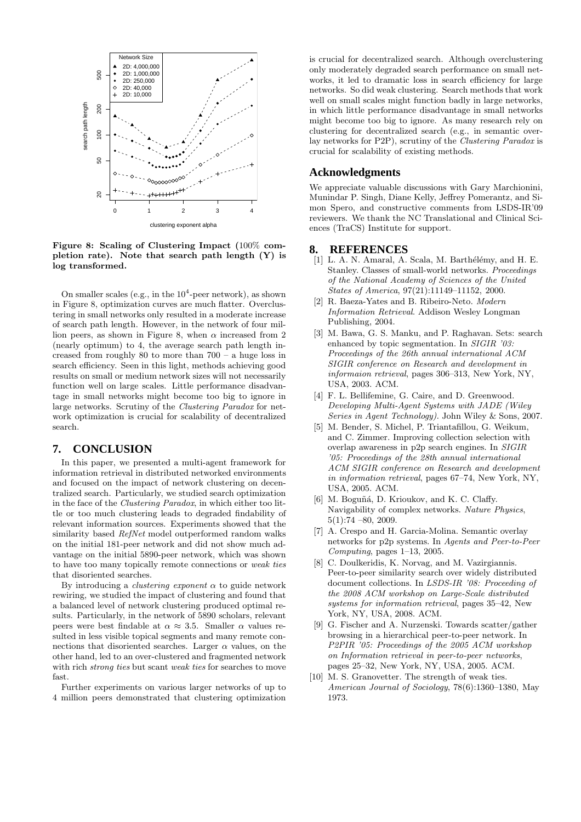

Figure 8: Scaling of Clustering Impact (100% completion rate). Note that search path length (Y) is log transformed.

On smaller scales (e.g., in the  $10^4$ -peer network), as shown in Figure 8, optimization curves are much flatter. Overclustering in small networks only resulted in a moderate increase of search path length. However, in the network of four million peers, as shown in Figure 8, when  $\alpha$  increased from  $2$ (nearly optimum) to 4, the average search path length increased from roughly 80 to more than 700 – a huge loss in search efficiency. Seen in this light, methods achieving good results on small or medium network sizes will not necessarily function well on large scales. Little performance disadvantage in small networks might become too big to ignore in large networks. Scrutiny of the Clustering Paradox for network optimization is crucial for scalability of decentralized search.

#### **7. CONCLUSION**

In this paper, we presented a multi-agent framework for information retrieval in distributed networked environments and focused on the impact of network clustering on decentralized search. Particularly, we studied search optimization in the face of the Clustering Paradox, in which either too little or too much clustering leads to degraded findability of relevant information sources. Experiments showed that the similarity based RefNet model outperformed random walks on the initial 181-peer network and did not show much advantage on the initial 5890-peer network, which was shown to have too many topically remote connections or weak ties that disoriented searches.

By introducing a *clustering exponent*  $\alpha$  to guide network rewiring, we studied the impact of clustering and found that a balanced level of network clustering produced optimal results. Particularly, in the network of 5890 scholars, relevant peers were best findable at  $\alpha \approx 3.5$ . Smaller  $\alpha$  values resulted in less visible topical segments and many remote connections that disoriented searches. Larger  $\alpha$  values, on the other hand, led to an over-clustered and fragmented network with rich strong ties but scant weak ties for searches to move fast.

Further experiments on various larger networks of up to 4 million peers demonstrated that clustering optimization

is crucial for decentralized search. Although overclustering only moderately degraded search performance on small networks, it led to dramatic loss in search efficiency for large networks. So did weak clustering. Search methods that work well on small scales might function badly in large networks, in which little performance disadvantage in small networks might become too big to ignore. As many research rely on clustering for decentralized search (e.g., in semantic overlay networks for P2P), scrutiny of the Clustering Paradox is crucial for scalability of existing methods.

## **Acknowledgments**

We appreciate valuable discussions with Gary Marchionini, Munindar P. Singh, Diane Kelly, Jeffrey Pomerantz, and Simon Spero, and constructive comments from LSDS-IR'09 reviewers. We thank the NC Translational and Clinical Sciences (TraCS) Institute for support.

#### **8. REFERENCES**

- [1] L. A. N. Amaral, A. Scala, M. Barthélémy, and H. E. Stanley. Classes of small-world networks. Proceedings of the National Academy of Sciences of the United States of America, 97(21):11149–11152, 2000.
- [2] R. Baeza-Yates and B. Ribeiro-Neto. Modern Information Retrieval. Addison Wesley Longman Publishing, 2004.
- [3] M. Bawa, G. S. Manku, and P. Raghavan. Sets: search enhanced by topic segmentation. In SIGIR '03: Proceedings of the 26th annual international ACM SIGIR conference on Research and development in informaion retrieval, pages 306–313, New York, NY, USA, 2003. ACM.
- [4] F. L. Bellifemine, G. Caire, and D. Greenwood. Developing Multi-Agent Systems with JADE (Wiley Series in Agent Technology). John Wiley & Sons, 2007.
- [5] M. Bender, S. Michel, P. Triantafillou, G. Weikum, and C. Zimmer. Improving collection selection with overlap awareness in p2p search engines. In SIGIR '05: Proceedings of the 28th annual international ACM SIGIR conference on Research and development in information retrieval, pages 67–74, New York, NY, USA, 2005. ACM.
- [6] M. Boguñá, D. Krioukov, and K. C. Claffy. Navigability of complex networks. Nature Physics, 5(1):74 –80, 2009.
- [7] A. Crespo and H. Garcia-Molina. Semantic overlay networks for p2p systems. In Agents and Peer-to-Peer Computing, pages 1–13, 2005.
- [8] C. Doulkeridis, K. Norvag, and M. Vazirgiannis. Peer-to-peer similarity search over widely distributed document collections. In LSDS-IR '08: Proceeding of the 2008 ACM workshop on Large-Scale distributed systems for information retrieval, pages 35–42, New York, NY, USA, 2008. ACM.
- [9] G. Fischer and A. Nurzenski. Towards scatter/gather browsing in a hierarchical peer-to-peer network. In P2PIR '05: Proceedings of the 2005 ACM workshop on Information retrieval in peer-to-peer networks, pages 25–32, New York, NY, USA, 2005. ACM.
- [10] M. S. Granovetter. The strength of weak ties. American Journal of Sociology, 78(6):1360–1380, May 1973.